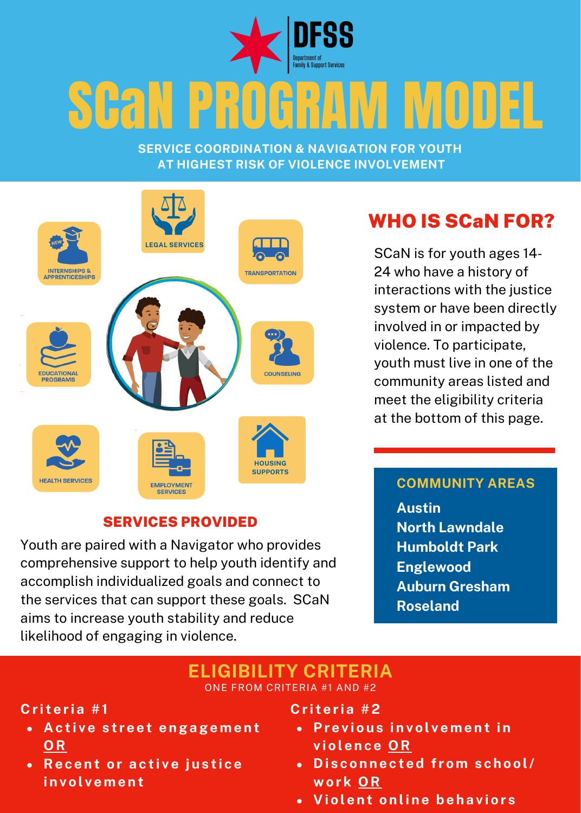

# SGAN PROGRAM MODEL

**SERVICE COORDINATION & NAVIGATION FOR YOUTH AT HIGHEST RISK OF VIOLENCE INVOLVEMENT**



### SERVICES PROVIDED

Youth are paired with a Navigator who provides comprehensive support to help youth identify and accomplish individualized goals and connect to the services that can support these goals. SCaN aims to increase youth stability and reduce likelihood of engaging in violence.

### WHO IS SCaN FOR?

SCaN is for youth ages 14- 24 who have a history of interactions with the justice system or have been directly involved in or impacted by violence. To participate, youth must live in one of the community areas listed and meet the eligibility criteria at the bottom of this page.

### **COMMUNITY AREAS**

**Austin North Lawndale Humboldt Park Englewood Auburn Gresham Roseland**

#### **ELIGIBILITY CRITERIA** ONE FROM CRITERIA #1 AND #2

### **C r i t e r i a #1**

- **A c t i v e s t r e e t e ngage m e n t OR**
- **Re c e n t o r a c t i v e j u s t i c e i n v o l v e m e n t**

**C r i t e r i a #2**

- **Pr e v i o u s i n v o l v e m e n t i n v i o l e n c e OR**
- **D i s c o n n e c t ed f r o m s c h o o l/ wo r k OR**
- **V i o l e n t o n li n e be h a v i o r s**